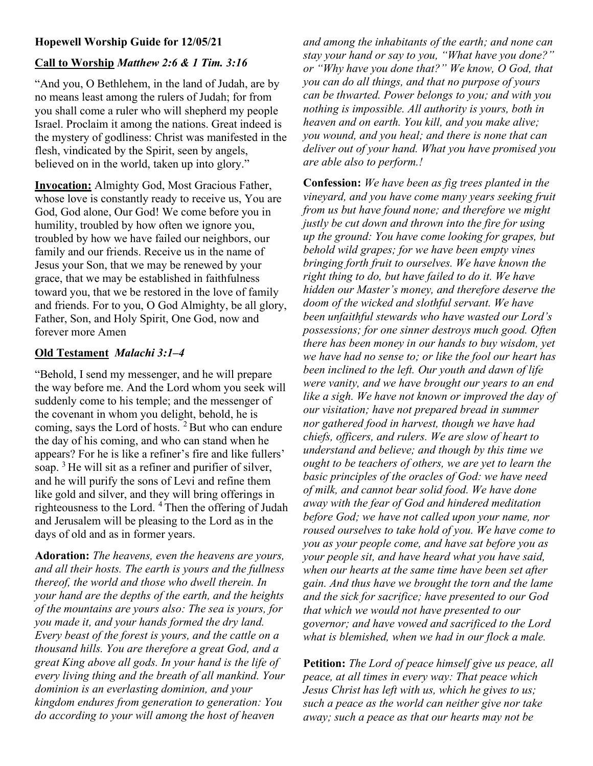# Hopewell Worship Guide for 12/05/21

## Call to Worship Matthew 2:6 & 1 Tim. 3:16

"And you, O Bethlehem, in the land of Judah, are by no means least among the rulers of Judah; for from you shall come a ruler who will shepherd my people Israel. Proclaim it among the nations. Great indeed is the mystery of godliness: Christ was manifested in the flesh, vindicated by the Spirit, seen by angels, believed on in the world, taken up into glory."

Invocation: Almighty God, Most Gracious Father, whose love is constantly ready to receive us, You are God, God alone, Our God! We come before you in humility, troubled by how often we ignore you, troubled by how we have failed our neighbors, our family and our friends. Receive us in the name of Jesus your Son, that we may be renewed by your grace, that we may be established in faithfulness toward you, that we be restored in the love of family and friends. For to you, O God Almighty, be all glory, Father, Son, and Holy Spirit, One God, now and forever more Amen

#### Old Testament Malachi 3:1–4

"Behold, I send my messenger, and he will prepare the way before me. And the Lord whom you seek will suddenly come to his temple; and the messenger of the covenant in whom you delight, behold, he is coming, says the Lord of hosts.<sup>2</sup> But who can endure the day of his coming, and who can stand when he appears? For he is like a refiner's fire and like fullers' soap.  $3$  He will sit as a refiner and purifier of silver, and he will purify the sons of Levi and refine them like gold and silver, and they will bring offerings in righteousness to the Lord. <sup>4</sup>Then the offering of Judah and Jerusalem will be pleasing to the Lord as in the days of old and as in former years.

Adoration: The heavens, even the heavens are yours, and all their hosts. The earth is yours and the fullness thereof, the world and those who dwell therein. In your hand are the depths of the earth, and the heights of the mountains are yours also: The sea is yours, for you made it, and your hands formed the dry land. Every beast of the forest is yours, and the cattle on a thousand hills. You are therefore a great God, and a great King above all gods. In your hand is the life of every living thing and the breath of all mankind. Your dominion is an everlasting dominion, and your kingdom endures from generation to generation: You do according to your will among the host of heaven

and among the inhabitants of the earth; and none can stay your hand or say to you, "What have you done?" or "Why have you done that?" We know, O God, that you can do all things, and that no purpose of yours can be thwarted. Power belongs to you; and with you nothing is impossible. All authority is yours, both in heaven and on earth. You kill, and you make alive; you wound, and you heal; and there is none that can deliver out of your hand. What you have promised you are able also to perform.!

Confession: We have been as fig trees planted in the vineyard, and you have come many years seeking fruit from us but have found none; and therefore we might justly be cut down and thrown into the fire for using up the ground: You have come looking for grapes, but behold wild grapes; for we have been empty vines bringing forth fruit to ourselves. We have known the right thing to do, but have failed to do it. We have hidden our Master's money, and therefore deserve the doom of the wicked and slothful servant. We have been unfaithful stewards who have wasted our Lord's possessions; for one sinner destroys much good. Often there has been money in our hands to buy wisdom, yet we have had no sense to; or like the fool our heart has been inclined to the left. Our youth and dawn of life were vanity, and we have brought our years to an end like a sigh. We have not known or improved the day of our visitation; have not prepared bread in summer nor gathered food in harvest, though we have had chiefs, officers, and rulers. We are slow of heart to understand and believe; and though by this time we ought to be teachers of others, we are yet to learn the basic principles of the oracles of God: we have need of milk, and cannot bear solid food. We have done away with the fear of God and hindered meditation before God; we have not called upon your name, nor roused ourselves to take hold of you. We have come to you as your people come, and have sat before you as your people sit, and have heard what you have said, when our hearts at the same time have been set after gain. And thus have we brought the torn and the lame and the sick for sacrifice; have presented to our God that which we would not have presented to our governor; and have vowed and sacrificed to the Lord what is blemished, when we had in our flock a male.

Petition: The Lord of peace himself give us peace, all peace, at all times in every way: That peace which Jesus Christ has left with us, which he gives to us; such a peace as the world can neither give nor take away; such a peace as that our hearts may not be